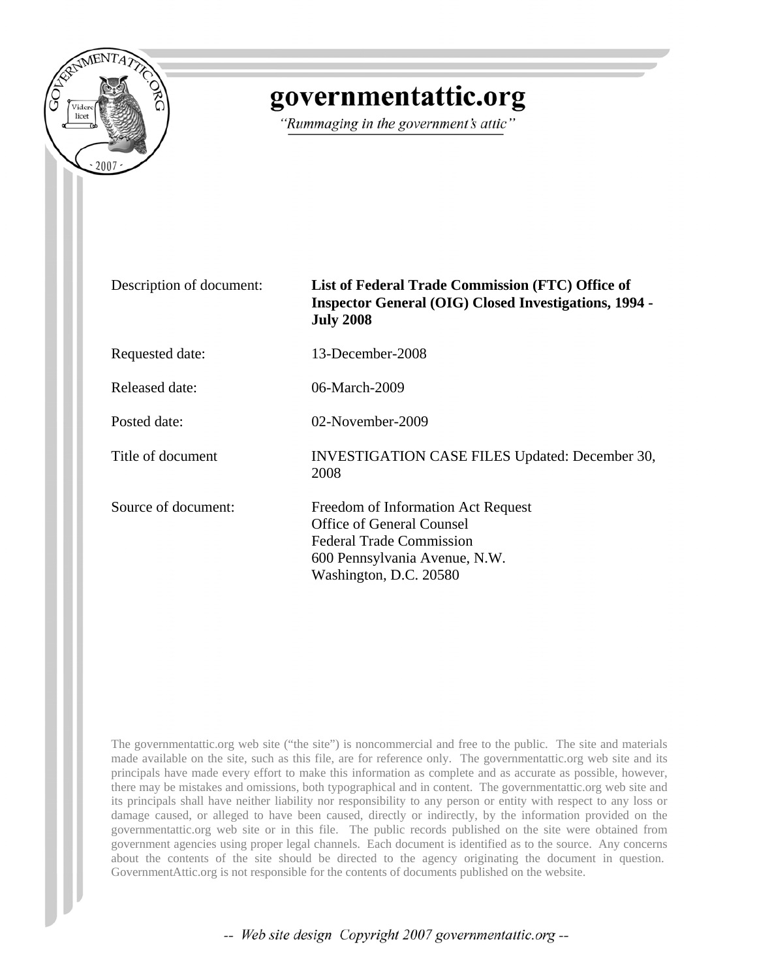

# governmentattic.org

"Rummaging in the government's attic"

| Description of document: | List of Federal Trade Commission (FTC) Office of<br><b>Inspector General (OIG) Closed Investigations, 1994 -</b><br><b>July 2008</b>                                 |
|--------------------------|----------------------------------------------------------------------------------------------------------------------------------------------------------------------|
| Requested date:          | 13-December-2008                                                                                                                                                     |
| Released date:           | 06-March-2009                                                                                                                                                        |
| Posted date:             | 02-November-2009                                                                                                                                                     |
| Title of document        | <b>INVESTIGATION CASE FILES Updated: December 30,</b><br>2008                                                                                                        |
| Source of document:      | Freedom of Information Act Request<br><b>Office of General Counsel</b><br><b>Federal Trade Commission</b><br>600 Pennsylvania Avenue, N.W.<br>Washington, D.C. 20580 |

The governmentattic.org web site ("the site") is noncommercial and free to the public. The site and materials made available on the site, such as this file, are for reference only. The governmentattic.org web site and its principals have made every effort to make this information as complete and as accurate as possible, however, there may be mistakes and omissions, both typographical and in content. The governmentattic.org web site and its principals shall have neither liability nor responsibility to any person or entity with respect to any loss or damage caused, or alleged to have been caused, directly or indirectly, by the information provided on the governmentattic.org web site or in this file. The public records published on the site were obtained from government agencies using proper legal channels. Each document is identified as to the source. Any concerns about the contents of the site should be directed to the agency originating the document in question. GovernmentAttic.org is not responsible for the contents of documents published on the website.

-- Web site design Copyright 2007 governmentattic.org --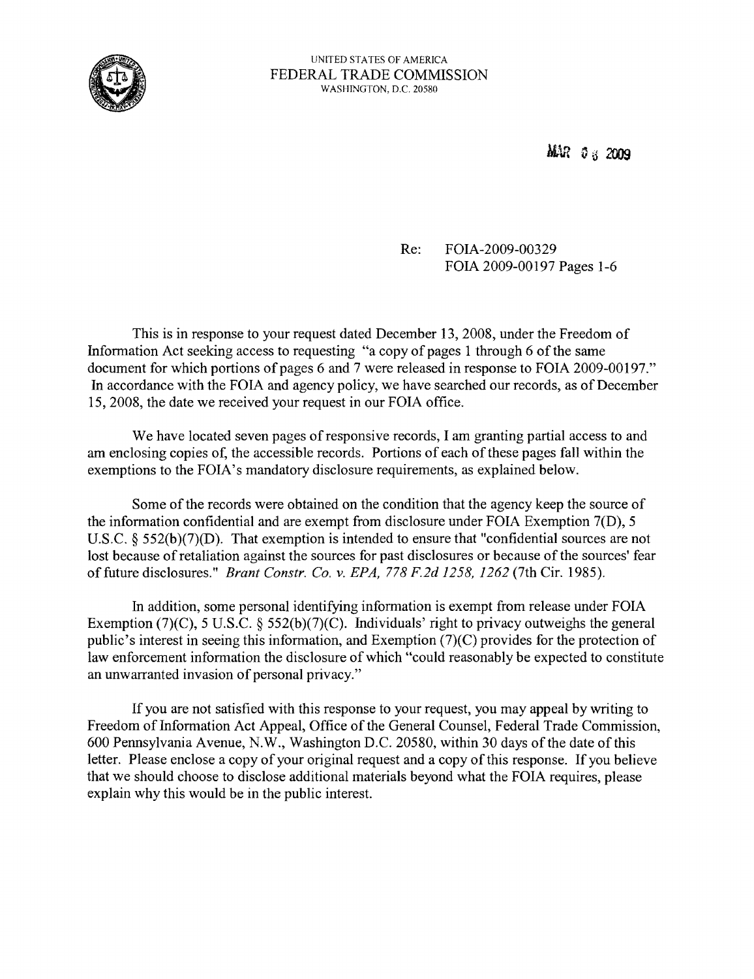

MAR 0 3 2009

Re: FOIA-2009-00329 FOIA 2009-00197 Pages 1-6

This is in response to your request dated December 13, 2008, under the Freedom of Information Act seeking access to requesting "a copy of pages 1 through 6 of the same document for which portions of pages 6 and 7 were released in response to FOIA 2009-00197." In accordance with the FOIA and agency policy, we have searched our records, as of December 15,2008, the date we received your request in our FOIA office.

We have located seven pages of responsive records, I am granting partial access to and am enclosing copies of, the accessible records. Portions of each of these pages fall within the exemptions to the FOIA's mandatory disclosure requirements, as explained below.

Some of the records were obtained on the condition that the agency keep the source of the information confidential and are exempt from disclosure under FOIA Exemption 7(D), 5 U.S.C. § 552(b)(7)(D). That exemption is intended to ensure that "confidential sources are not lost because of retaliation against the sources for past disclosures or because of the sources' fear of future disclosures." *Brant Constr. Co. v. EPA,* 778 *F.2d* 1258,1262 (7th Cir. 1985).

In addition, some personal identifying information is exempt from release under FOIA Exemption (7)(C), 5 U.S.C. § 552(b)(7)(C). Individuals' right to privacy outweighs the general public's interest in seeing this information, and Exemption (7)(C) provides for the protection of law enforcement information the disclosure of which "could reasonably be expected to constitute an unwarranted invasion of personal privacy."

If you are not satisfied with this response to your request, you may appeal by writing to Freedom of Information Act Appeal, Office of the General Counsel, Federal Trade Commission, 600 Pennsylvania Avenue, N.W., Washington D.C. 20580, within 30 days of the date ofthis letter. Please enclose a copy of your original request and a copy of this response. If you believe that we should choose to disclose additional materials beyond what the FOIA requires, please explain why this would be in the public interest.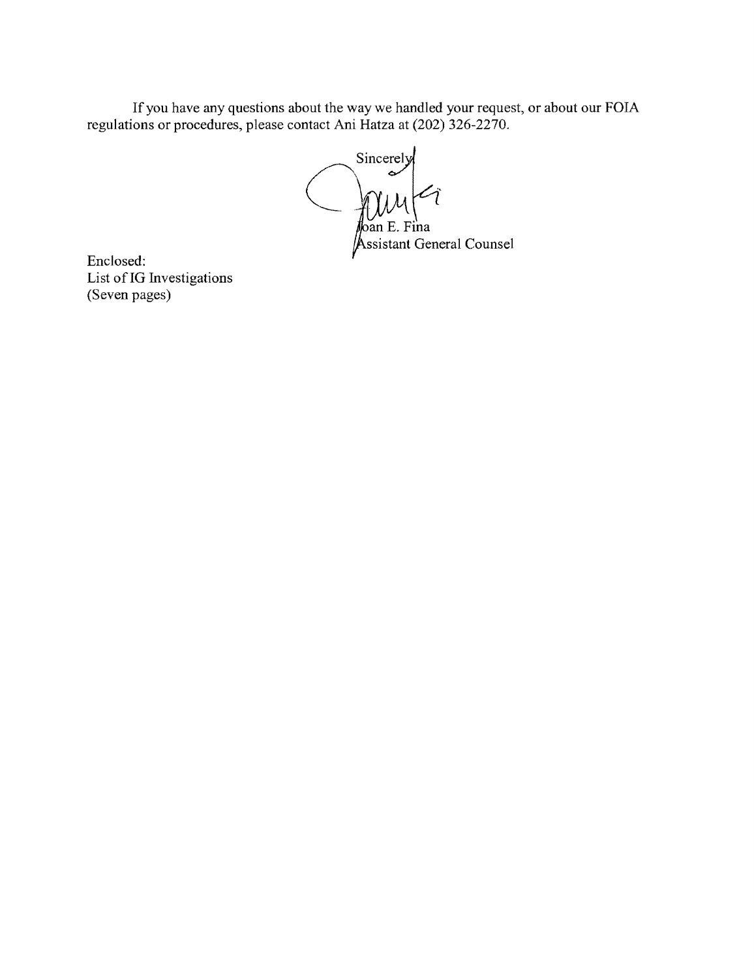If you have any questions about the way we handled your request, or about our FOIA regulations or procedures, please contact Ani Hatza at (202) 326-2270.

 $\left(\begin{array}{c} \sim \\ \sim \end{array}\right)$ an E. Fina ssistant General Counsel

Enclosed: List of IG Investigations (Seven pages)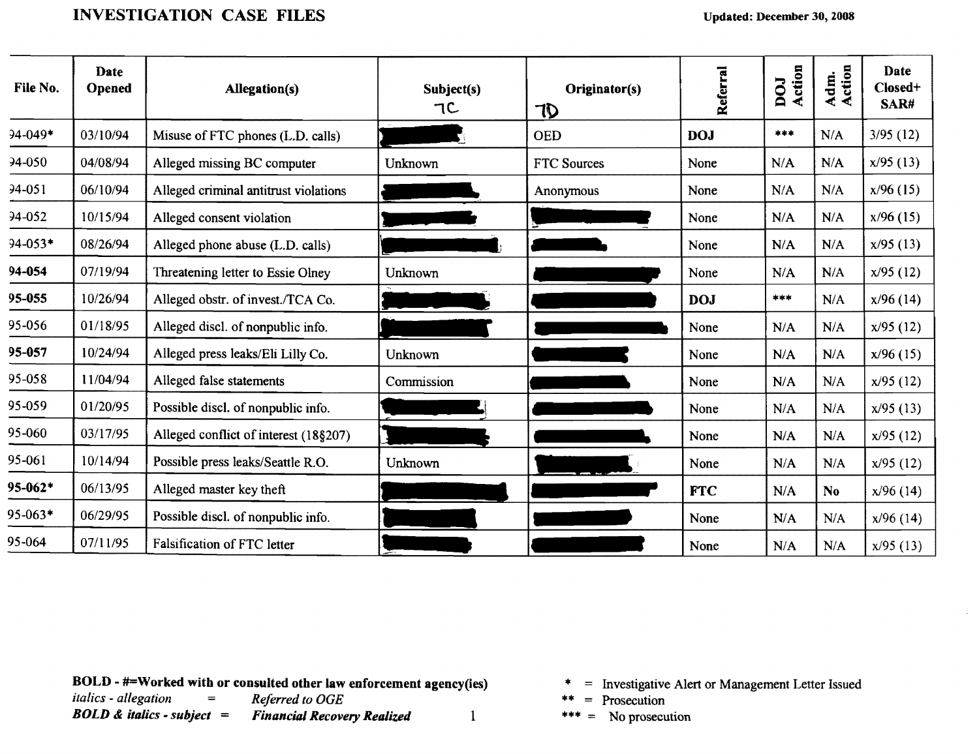#### INVESTIGATION CASE FILES

| File No.    | Date<br><b>Opened</b> | Allegation(s)                         | Subject(s)<br>TC | Originator(s)<br>TD | Referral   | Action<br>DOJ | Adm.<br>Action | Date<br>Closed+<br>SAR# |
|-------------|-----------------------|---------------------------------------|------------------|---------------------|------------|---------------|----------------|-------------------------|
| $94 - 049*$ | 03/10/94              | Misuse of FTC phones (L.D. calls)     |                  | <b>OED</b>          | <b>DOJ</b> | ***           | N/A            | 3/95(12)                |
| $94-050$    | 04/08/94              | Alleged missing BC computer           | Unknown          | <b>FTC Sources</b>  | None       | N/A           | N/A            | x/95(13)                |
| 94-051      | 06/10/94              | Alleged criminal antitrust violations |                  | Anonymous           | None       | N/A           | N/A            | x/96(15)                |
| 94-052      | 10/15/94              | Alleged consent violation             |                  |                     | None       | N/A           | N/A            | $x/96$ (15)             |
| 94-053*     | 08/26/94              | Alleged phone abuse (L.D. calls)      |                  |                     | None       | N/A           | N/A            | x/95(13)                |
| 94-054      | 07/19/94              | Threatening letter to Essie Olney     | Unknown          |                     | None       | N/A           | N/A            | x/95(12)                |
| 95-055      | 10/26/94              | Alleged obstr. of invest./TCA Co.     |                  |                     | <b>DOJ</b> | ***           | N/A            | x/96(14)                |
| 95-056      | 01/18/95              | Alleged discl. of nonpublic info.     |                  |                     | None       | N/A           | N/A            | x/95(12)                |
| 95-057      | 10/24/94              | Alleged press leaks/Eli Lilly Co.     | Unknown          |                     | None       | N/A           | N/A            | x/96(15)                |
| 95-058      | 11/04/94              | Alleged false statements              | Commission       |                     | None       | N/A           | N/A            | x/95(12)                |
| 95-059      | 01/20/95              | Possible discl. of nonpublic info.    |                  |                     | None       | N/A           | N/A            | x/95(13)                |
| 95-060      | 03/17/95              | Alleged conflict of interest (18§207) |                  |                     | None       | N/A           | N/A            | x/95(12)                |
| 95-061      | 10/14/94              | Possible press leaks/Seattle R.O.     | Unknown          |                     | None       | N/A           | N/A            | x/95(12)                |
| 95-062*     | 06/13/95              | Alleged master key theft              |                  |                     | <b>FTC</b> | N/A           | N <sub>o</sub> | x/96(14)                |
| 95-063*     | 06/29/95              | Possible discl. of nonpublic info.    |                  |                     | None       | N/A           | N/A            | x/96(14)                |
| 95-064      | 07/11/95              | Falsification of FTC letter           |                  |                     | None       | N/A           | N/A            | x/95(13)                |

**BOLD - #=Worked with or consulted other law enforcement agency(ies)** italics - allegation  $=$  Referred to OGE

*italics - allegation* = *Referred to OGE*<br>*BOLD & italics - subject* = *Financial Recove Financial Recovery Realized* 1

- \* = Investigative Alert or Management Letter Issued
- \*\* = Prosecution
- \*\*\* = No prosecution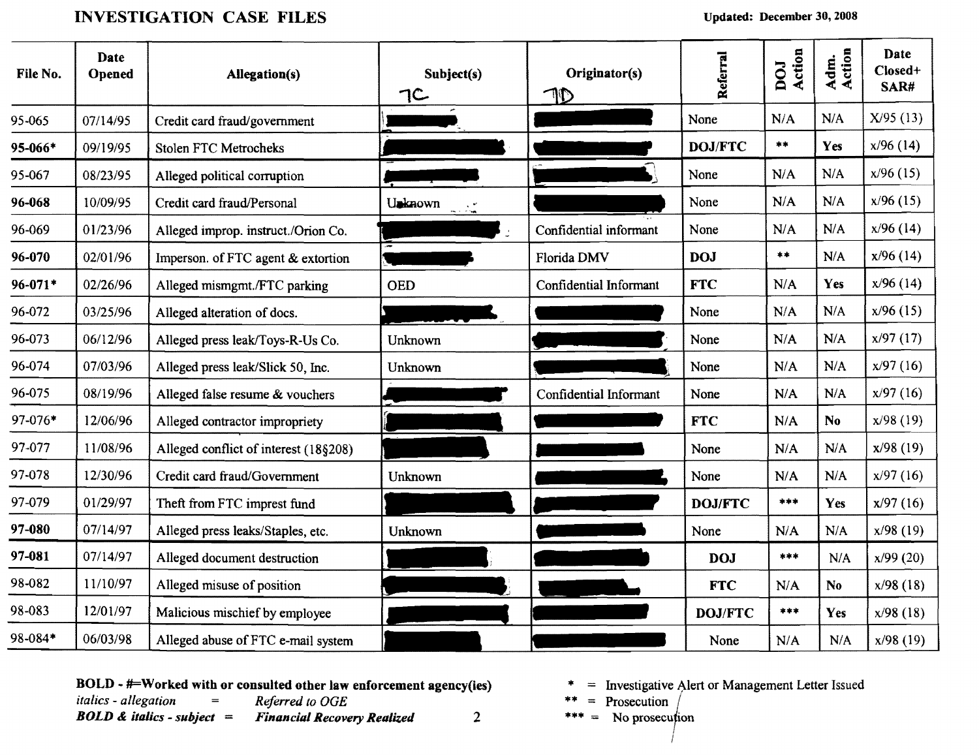### INVESTIGATION CASE FILES Updated: December 30, 2008

| File No.    | Date<br>Opened | <b>Allegation(s)</b>                  | Subject(s)<br>7C | Originator(s)          | Referral       | Action<br>DOJ   | Adm.<br>Action | Date<br>Closed+<br>SAR# |
|-------------|----------------|---------------------------------------|------------------|------------------------|----------------|-----------------|----------------|-------------------------|
| 95-065      | 07/14/95       | Credit card fraud/government          |                  |                        | None           | N/A             | N/A            | X/95(13)                |
| 95-066*     | 09/19/95       | <b>Stolen FTC Metrocheks</b>          |                  |                        | DOJ/FTC        | $\star\star$    | <b>Yes</b>     | $x/96$ (14)             |
| 95-067      | 08/23/95       | Alleged political corruption          |                  |                        | None           | N/A             | N/A            | x/96(15)                |
| 96-068      | 10/09/95       | Credit card fraud/Personal            | Unknown          |                        | None           | N/A             | N/A            | $x/96$ (15)             |
| 96-069      | 01/23/96       | Alleged improp. instruct./Orion Co.   |                  | Confidential informant | None           | N/A             | N/A            | $x/96$ (14)             |
| 96-070      | 02/01/96       | Imperson. of FTC agent & extortion    |                  | Florida DMV            | <b>DOJ</b>     | $\star$ $\star$ | N/A            | x/96(14)                |
| $96 - 071*$ | 02/26/96       | Alleged mismgmt./FTC parking          | <b>OED</b>       | Confidential Informant | <b>FTC</b>     | N/A             | Yes            | $x/96$ (14)             |
| 96-072      | 03/25/96       | Alleged alteration of docs.           |                  |                        | None           | N/A             | N/A            | $x/96$ (15)             |
| 96-073      | 06/12/96       | Alleged press leak/Toys-R-Us Co.      | Unknown          |                        | None           | N/A             | N/A            | x/97(17)                |
| 96-074      | 07/03/96       | Alleged press leak/Slick 50, Inc.     | Unknown          |                        | None           | N/A             | N/A            | x/97(16)                |
| 96-075      | 08/19/96       | Alleged false resume & vouchers       |                  | Confidential Informant | None           | N/A             | N/A            | x/97(16)                |
| 97-076*     | 12/06/96       | Alleged contractor impropriety        |                  |                        | <b>FTC</b>     | N/A             | N <sub>0</sub> | x/98(19)                |
| 97-077      | 11/08/96       | Alleged conflict of interest (18§208) |                  |                        | None           | N/A             | N/A            | x/98(19)                |
| 97-078      | 12/30/96       | Credit card fraud/Government          | Unknown          |                        | None           | N/A             | N/A            | x/97(16)                |
| 97-079      | 01/29/97       | Theft from FTC imprest fund           |                  |                        | <b>DOJ/FTC</b> | ***             | <b>Yes</b>     | x/97(16)                |
| 97-080      | 07/14/97       | Alleged press leaks/Staples, etc.     | Unknown          |                        | None           | N/A             | N/A            | $x/98$ (19)             |
| 97-081      | 07/14/97       | Alleged document destruction          |                  |                        | <b>DOJ</b>     | ***             | N/A            | x/99(20)                |
| 98-082      | 11/10/97       | Alleged misuse of position            |                  |                        | <b>FTC</b>     | N/A             | No.            | x/98(18)                |
| 98-083      | 12/01/97       | Malicious mischief by employee        |                  |                        | <b>DOJ/FTC</b> | ***             | <b>Yes</b>     | x/98(18)                |
| 98-084*     | 06/03/98       | Alleged abuse of FTC e-mail system    |                  |                        | None           | N/A             | N/A            | x/98(19)                |

**BOLD - #=Worked with or consulted other law enforcement agency(ies)**  $* =$  Investigative Alert or Management Letter Issued *italics - allegation* = *Referred to OGE*  $* =$  Prosecution  $\left($ 

*BOLD & italics - subject = Financial Recovery Realized* 2 \*\*\* = No prosecution

- 
- 
- 

I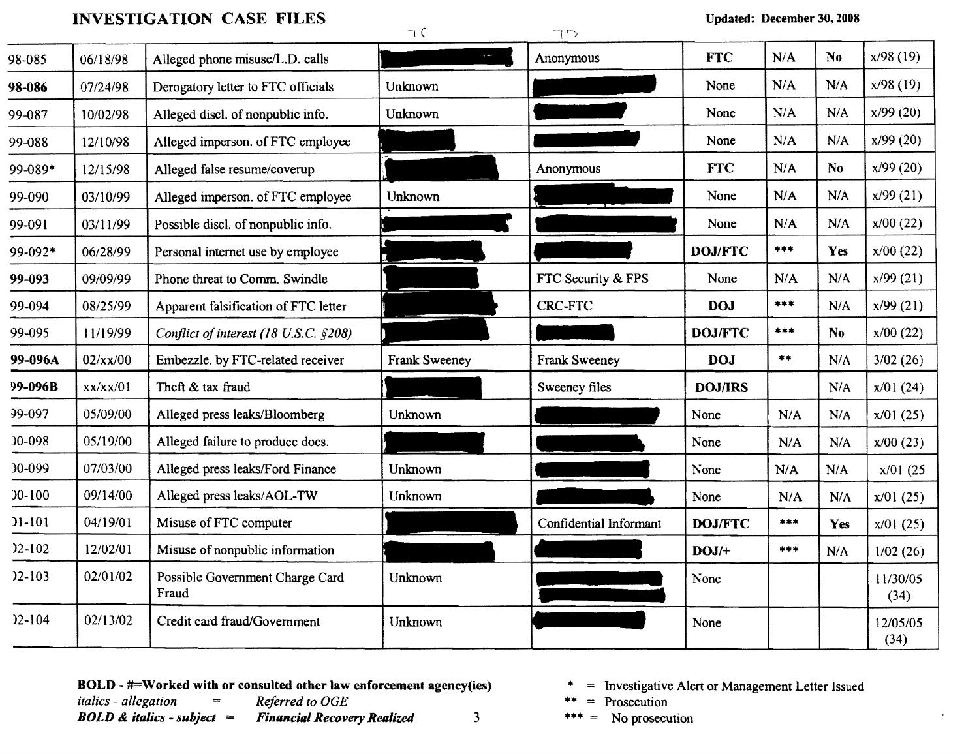# INVESTIGATION CASE FILES  $\bigcap_{\Box}$

 $\cap$   $\cap$ 

| 98-085     | 06/18/98 | Alleged phone misuse/L.D. calls          |               | Anonymous              | <b>FTC</b>     | N/A             | N <sub>0</sub> | x/98(19)         |
|------------|----------|------------------------------------------|---------------|------------------------|----------------|-----------------|----------------|------------------|
| 98-086     | 07/24/98 | Derogatory letter to FTC officials       | Unknown       |                        | None           | N/A             | N/A            | x/98 (19)        |
| 99-087     | 10/02/98 | Alleged discl. of nonpublic info.        | Unknown       |                        | None           | N/A             | N/A            | x/99(20)         |
| 99-088     | 12/10/98 | Alleged imperson. of FTC employee        |               |                        | None           | N/A             | N/A            | x/99(20)         |
| 99-089*    | 12/15/98 | Alleged false resume/coverup             |               | Anonymous              | <b>FTC</b>     | N/A             | N <sub>0</sub> | x/99(20)         |
| 99-090     | 03/10/99 | Alleged imperson. of FTC employee        | Unknown       |                        | None           | N/A             | N/A            | x/99(21)         |
| 99-091     | 03/11/99 | Possible discl. of nonpublic info.       |               |                        | None           | N/A             | N/A            | $x/00$ (22)      |
| 99-092*    | 06/28/99 | Personal internet use by employee        |               |                        | DOJ/FTC        | ***             | Yes            | x/00(22)         |
| 99-093     | 09/09/99 | Phone threat to Comm. Swindle            |               | FTC Security & FPS     | None           | N/A             | N/A            | x/99(21)         |
| 99-094     | 08/25/99 | Apparent falsification of FTC letter     |               | <b>CRC-FTC</b>         | <b>DOJ</b>     | ***             | N/A            | x/99(21)         |
| 99-095     | 11/19/99 | Conflict of interest (18 U.S.C. §208)    |               |                        | <b>DOJ/FTC</b> | ***             | N <sub>0</sub> | $x/00$ (22)      |
| 99-096A    | 02/xx/00 | Embezzle. by FTC-related receiver        | Frank Sweeney | Frank Sweeney          | <b>DOJ</b>     | $\star$ $\star$ | N/A            | 3/02(26)         |
| 99-096B    | xx/xx/01 | Theft & tax fraud                        |               | Sweeney files          | <b>DOJ/IRS</b> |                 | N/A            | x/01(24)         |
| 99-097     | 05/09/00 | Alleged press leaks/Bloomberg            | Unknown       |                        | None           | N/A             | N/A            | x/01(25)         |
| 00-098     | 05/19/00 | Alleged failure to produce docs.         |               |                        | None           | N/A             | N/A            | x/00(23)         |
| 00-099     | 07/03/00 | Alleged press leaks/Ford Finance         | Unknown       |                        | None           | N/A             | N/A            | $x/01$ (25       |
| $0 - 100$  | 09/14/00 | Alleged press leaks/AOL-TW               | Unknown       |                        | None           | N/A             | N/A            | x/01(25)         |
| $11-101$   | 04/19/01 | Misuse of FTC computer                   |               | Confidential Informant | <b>DOJ/FTC</b> | ***             | Yes            | x/01(25)         |
| $)2 - 102$ | 12/02/01 | Misuse of nonpublic information          |               |                        | $DOJ/+$        | ***             | N/A            | 1/02(26)         |
| $)2 - 103$ | 02/01/02 | Possible Government Charge Card<br>Fraud | Unknown       |                        | None           |                 |                | 11/30/05<br>(34) |
| $)2 - 104$ | 02/13/02 | Credit card fraud/Government             | Unknown       |                        | None           |                 |                | 12/05/05<br>(34) |

**80LD - #=Worked with or consulted other law enforcement agency(ies)**  $* =$  Investigative Alert or Management Letter Issued<br>  $* =$  Prosecution<br>  $* =$  Prosecution

*italics - allegation* = *Referred to OGE* \*\* = Prosecution<br> **BOLD & italics - subject** = **Financial Recovery Realized** 3 \*\*\* = No prosecution **Financial Recovery Realized** 

- 
-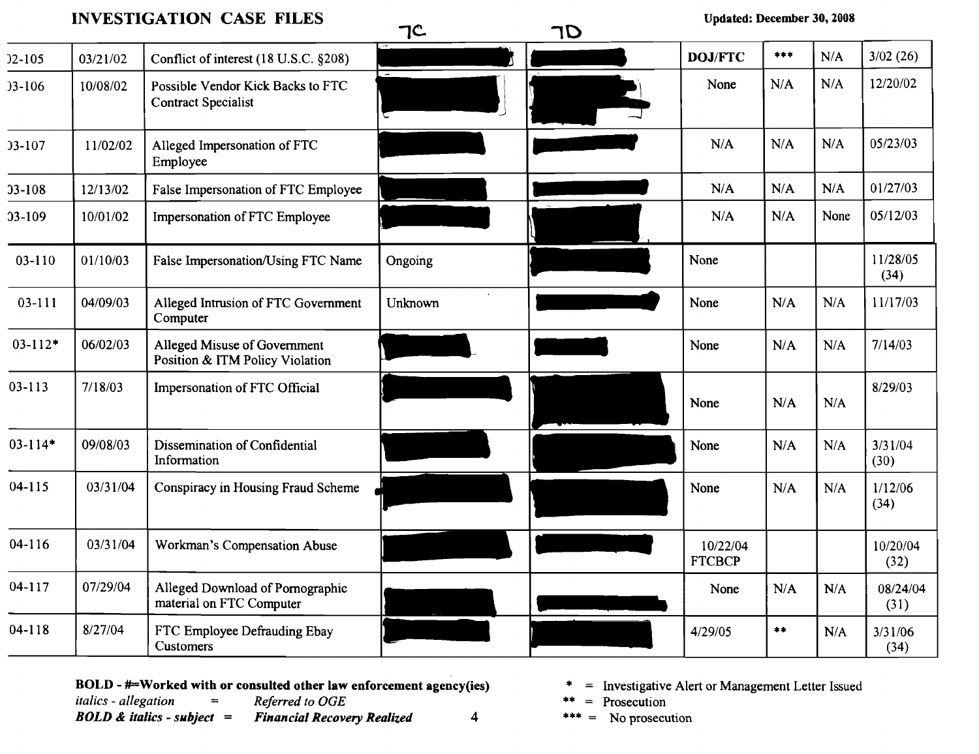## INVESTIGATION CASE FILES TC. TO Updated: December 30, 2008

|             |          |                                                                 | $\overline{\phantom{0}}$ | . . |                           |                  |      |                  |
|-------------|----------|-----------------------------------------------------------------|--------------------------|-----|---------------------------|------------------|------|------------------|
| $)2 - 105$  | 03/21/02 | Conflict of interest (18 U.S.C. §208)                           | $\overline{a}$           |     | <b>DOJ/FTC</b>            | ***              | N/A  | 3/02(26)         |
| $3-106$     | 10/08/02 | Possible Vendor Kick Backs to FTC<br><b>Contract Specialist</b> |                          |     | None                      | N/A              | N/A  | 12/20/02         |
| 03-107      | 11/02/02 | Alleged Impersonation of FTC<br>Employee                        |                          |     | N/A                       | N/A              | N/A  | 05/23/03         |
| $33 - 108$  | 12/13/02 | False Impersonation of FTC Employee                             |                          |     | N/A                       | N/A              | N/A  | 01/27/03         |
| 03-109      | 10/01/02 | Impersonation of FTC Employee                                   |                          |     | N/A                       | N/A              | None | 05/12/03         |
| 03-110      | 01/10/03 | False Impersonation/Using FTC Name                              | Ongoing                  |     | None                      |                  |      | 11/28/05<br>(34) |
| $03 - 111$  | 04/09/03 | Alleged Intrusion of FTC Government<br>Computer                 | <b>Unknown</b>           |     | None                      | N/A              | N/A  | 11/17/03         |
| $03 - 112*$ | 06/02/03 | Alleged Misuse of Government<br>Position & ITM Policy Violation |                          |     | None                      | N/A              | N/A  | 7/14/03          |
| $03 - 113$  | 7/18/03  | Impersonation of FTC Official                                   |                          |     | None                      | N/A              | N/A  | 8/29/03          |
| $03 - 114*$ | 09/08/03 | Dissemination of Confidential<br>Information                    |                          |     | None                      | N/A              | N/A  | 3/31/04<br>(30)  |
| $04 - 115$  | 03/31/04 | Conspiracy in Housing Fraud Scheme                              |                          |     | None                      | N/A              | N/A  | 1/12/06<br>(34)  |
| $04 - 116$  | 03/31/04 | Workman's Compensation Abuse                                    |                          |     | 10/22/04<br><b>FTCBCP</b> |                  |      | 10/20/04<br>(32) |
| 04-117      | 07/29/04 | Alleged Download of Pornographic<br>material on FTC Computer    |                          |     | None                      | N/A              | N/A  | 08/24/04<br>(31) |
| $04 - 118$  | 8/27/04  | FTC Employee Defrauding Ebay<br><b>Customers</b>                |                          |     | 4/29/05                   | $\pmb{*}\pmb{*}$ | N/A  | 3/31/06<br>(34)  |

BOLD - #=Worked with or consulted other law enforcement agency(ies)  $* =$  Investigative Alert or Management Letter Issued<br>
italics - allegation = Referred to OGE  $* =$  Prosecution

*italics - allegation* = *Referred to OGE* \*\* = Prosecution<br> **BOLD & italics - subject** = **Financial Recovery Realized** 4 \*\*\* = No prosecution **Financial Recovery Realized** 

- 
- 
-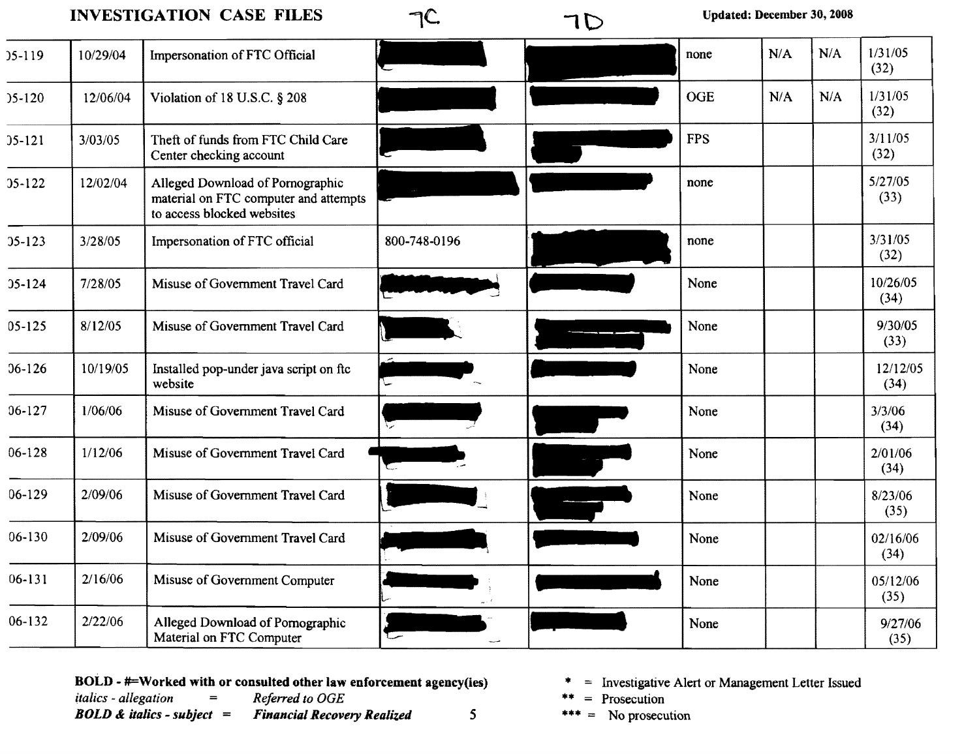## INVESTIGATION CASE FILES  $\bigcap$ <sup> $\bigcap$ </sup>  $\bigcup$  Updated: December 30, 2008

| $35-119$   | 10/29/04 | Impersonation of FTC Official                                                                           |              | none       | N/A | N/A | 1/31/05<br>(32)  |
|------------|----------|---------------------------------------------------------------------------------------------------------|--------------|------------|-----|-----|------------------|
| $35 - 120$ | 12/06/04 | Violation of 18 U.S.C. § 208                                                                            |              | <b>OGE</b> | N/A | N/A | 1/31/05<br>(32)  |
| $35 - 121$ | 3/03/05  | Theft of funds from FTC Child Care<br>Center checking account                                           |              | <b>FPS</b> |     |     | 3/11/05<br>(32)  |
| $35 - 122$ | 12/02/04 | Alleged Download of Pornographic<br>material on FTC computer and attempts<br>to access blocked websites |              | none       |     |     | 5/27/05<br>(33)  |
| $35 - 123$ | 3/28/05  | Impersonation of FTC official                                                                           | 800-748-0196 | none       |     |     | 3/31/05<br>(32)  |
| $35 - 124$ | 7/28/05  | Misuse of Government Travel Card                                                                        |              | None       |     |     | 10/26/05<br>(34) |
| $05 - 125$ | 8/12/05  | Misuse of Government Travel Card                                                                        |              | None       |     |     | 9/30/05<br>(33)  |
| $36 - 126$ | 10/19/05 | Installed pop-under java script on ftc<br>website                                                       | ╰            | None       |     |     | 12/12/05<br>(34) |
| $06 - 127$ | 1/06/06  | Misuse of Government Travel Card                                                                        |              | None       |     |     | 3/3/06<br>(34)   |
| $06 - 128$ | 1/12/06  | Misuse of Government Travel Card                                                                        |              | None       |     |     | 2/01/06<br>(34)  |
| $06-129$   | 2/09/06  | Misuse of Government Travel Card                                                                        |              | None       |     |     | 8/23/06<br>(35)  |
| $06 - 130$ | 2/09/06  | Misuse of Government Travel Card                                                                        |              | None       |     |     | 02/16/06<br>(34) |
| $06 - 131$ | 2/16/06  | Misuse of Government Computer                                                                           |              | None       |     |     | 05/12/06<br>(35) |
| $06 - 132$ | 2/22/06  | Alleged Download of Pornographic<br>Material on FTC Computer                                            |              | None       |     |     | 9/27/06<br>(35)  |

**BOLD - #=Worked with or consulted other law enforcement agency(ies)**  $*$  = Investigative Alert or Management Letter Issued *italics - allegation* = *Referred to OGE*  $*$  = Prosecution *italics - allegation* = *Referred to OGE* \*\* = Prosecution<br> **BOLD & italics - subject** = **Financial Recovery Realized** 5 \*\*\* = No prosecution

**Financial Recovery Realized** 

- 
- 
-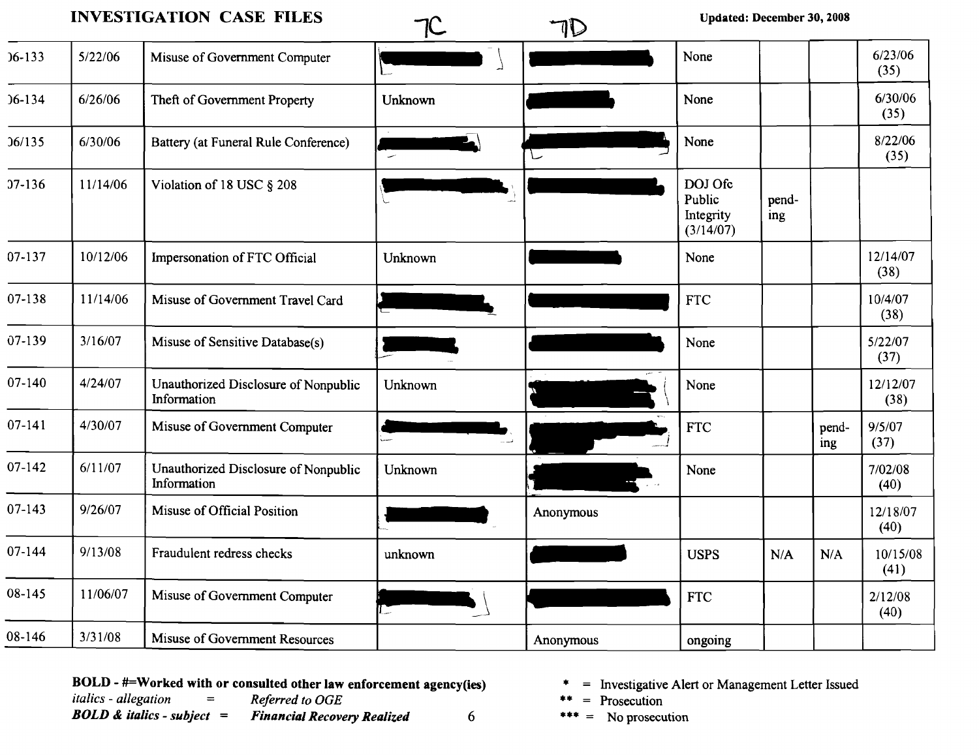|            |          | <b>INVESTIGATION CASE FILES</b>                     |         | 1D        | <b>Updated: December 30, 2008</b>           |              |              |                  |
|------------|----------|-----------------------------------------------------|---------|-----------|---------------------------------------------|--------------|--------------|------------------|
| $06 - 133$ | 5/22/06  | Misuse of Government Computer                       |         |           | None                                        |              |              | 6/23/06<br>(35)  |
| $36 - 134$ | 6/26/06  | Theft of Government Property                        | Unknown |           | None                                        |              |              | 6/30/06<br>(35)  |
| 36/135     | 6/30/06  | Battery (at Funeral Rule Conference)                |         |           | None                                        |              |              | 8/22/06<br>(35)  |
| $37-136$   | 11/14/06 | Violation of 18 USC § 208                           |         |           | DOJ Ofc<br>Public<br>Integrity<br>(3/14/07) | pend-<br>ing |              |                  |
| 07-137     | 10/12/06 | Impersonation of FTC Official                       | Unknown |           | None                                        |              |              | 12/14/07<br>(38) |
| 07-138     | 11/14/06 | Misuse of Government Travel Card                    |         |           | <b>FTC</b>                                  |              |              | 10/4/07<br>(38)  |
| 07-139     | 3/16/07  | Misuse of Sensitive Database(s)                     |         |           | None                                        |              |              | 5/22/07<br>(37)  |
| 07-140     | 4/24/07  | Unauthorized Disclosure of Nonpublic<br>Information | Unknown | T         | None                                        |              |              | 12/12/07<br>(38) |
| $07 - 141$ | 4/30/07  | Misuse of Government Computer                       |         |           | <b>FTC</b>                                  |              | pend-<br>ing | 9/5/07<br>(37)   |
| 07-142     | 6/11/07  | Unauthorized Disclosure of Nonpublic<br>Information | Unknown |           | None                                        |              |              | 7/02/08<br>(40)  |
| $07-143$   | 9/26/07  | Misuse of Official Position                         |         | Anonymous |                                             |              |              | 12/18/07<br>(40) |
| 07-144     | 9/13/08  | Fraudulent redress checks                           | unknown |           | <b>USPS</b>                                 | N/A          | N/A          | 10/15/08<br>(41) |
| 08-145     | 11/06/07 | Misuse of Government Computer                       | in.     |           | <b>FTC</b>                                  |              |              | 2/12/08<br>(40)  |
| 08-146     | 3/31/08  | Misuse of Government Resources                      |         | Anonymous | ongoing                                     |              |              |                  |

**BOLD - #=Worked with or consulted other law enforcement agency(ies)**  $\ast$  = Investigative Alert or Management Letter Issued *italics - allegation* = Referred to OGE  $\ast$  = Prosecution

*italics - allegation* = Referred to OGE \*\* = Prosecution<br> **BOLD & italics - subject = Financial Recovery Realized** 6 \*\*\* = No prosecution  $F$ *inancial Recovery Realized*